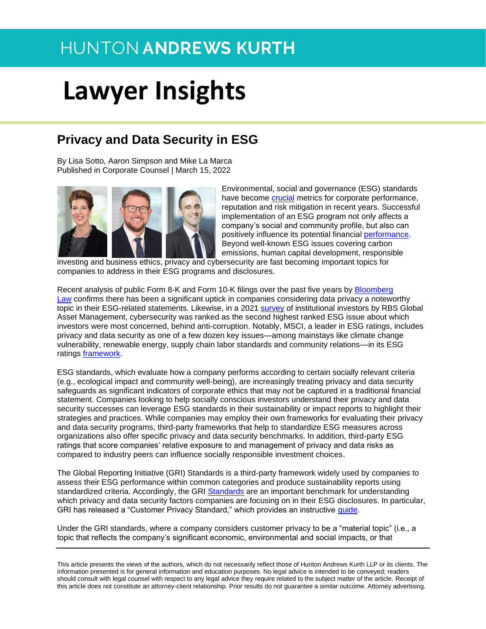# **Lawyer Insights**

### **Privacy and Data Security in ESG**

By Lisa Sotto, Aaron Simpson and Mike La Marca Published in Corporate Counsel | March 15, 2022



Environmental, social and governance (ESG) standards have become [crucial](https://www.ey.com/en_us/assurance/why-sustainability-and-esg-are-now-more-important-than-ever) metrics for corporate performance, reputation and risk mitigation in recent years. Successful implementation of an ESG program not only affects a company's social and community profile, but also can positively influence its potential financial [performance.](https://www.mckinsey.com/business-functions/strategy-and-corporate-finance/our-insights/five-ways-that-esg-creates-value) Beyond well-known ESG issues covering carbon emissions, human capital development, responsible

investing and business ethics, privacy and cybersecurity are fast becoming important topics for companies to address in their ESG programs and disclosures.

Recent analysis of public Form 8-K and Form 10-K filings over the past five years by [Bloomberg](https://news.bloomberglaw.com/bloomberg-law-analysis/analysis-is-privacy-an-esg-win-sec-filing-trend-says-yes)  [Law](https://news.bloomberglaw.com/bloomberg-law-analysis/analysis-is-privacy-an-esg-win-sec-filing-trend-says-yes) confirms there has been a significant uptick in companies considering data privacy a noteworthy topic in their ESG-related statements. Likewise, in a 2021 [survey](https://www.rbcgam.com/en/ca/about-us/responsible-investment/our-latest-independent-research) of institutional investors by RBS Global Asset Management, cybersecurity was ranked as the second highest ranked ESG issue about which investors were most concerned, behind anti-corruption. Notably, MSCI, a leader in ESG ratings, includes privacy and data security as one of a few dozen key issues—among mainstays like climate change vulnerability, renewable energy, supply chain labor standards and community relations—in its ESG ratings [framework.](https://www.msci.com/our-solutions/esg-investing/esg-ratings/esg-ratings-key-issue-framework)

ESG standards, which evaluate how a company performs according to certain socially relevant criteria (e.g., ecological impact and community well-being), are increasingly treating privacy and data security safeguards as significant indicators of corporate ethics that may not be captured in a traditional financial statement. Companies looking to help socially conscious investors understand their privacy and data security successes can leverage ESG standards in their sustainability or impact reports to highlight their strategies and practices. While companies may employ their own frameworks for evaluating their privacy and data security programs, third-party frameworks that help to standardize ESG measures across organizations also offer specific privacy and data security benchmarks. In addition, third-party ESG ratings that score companies' relative exposure to and management of privacy and data risks as compared to industry peers can influence socially responsible investment choices.

The Global Reporting Initiative (GRI) Standards is a third-party framework widely used by companies to assess their ESG performance within common categories and produce sustainability reports using standardized criteria. Accordingly, the GRI [Standards](https://www.globalreporting.org/how-to-use-the-gri-standards/gri-standards-english-language/) are an important benchmark for understanding which privacy and data security factors companies are focusing on in their ESG disclosures. In particular, GRI has released a "Customer Privacy Standard," which provides an instructive [guide.](https://www.globalreporting.org/how-to-use-the-gri-standards/gri-standards-english-language/)

Under the GRI standards, where a company considers customer privacy to be a "material topic" (i.e., a topic that reflects the company's significant economic, environmental and social impacts, or that

This article presents the views of the authors, which do not necessarily reflect those of Hunton Andrews Kurth LLP or its clients. The information presented is for general information and education purposes. No legal advice is intended to be conveyed; readers should consult with legal counsel with respect to any legal advice they require related to the subject matter of the article. Receipt of this article does not constitute an attorney-client relationship. Prior results do not guarantee a similar outcome. Attorney advertising.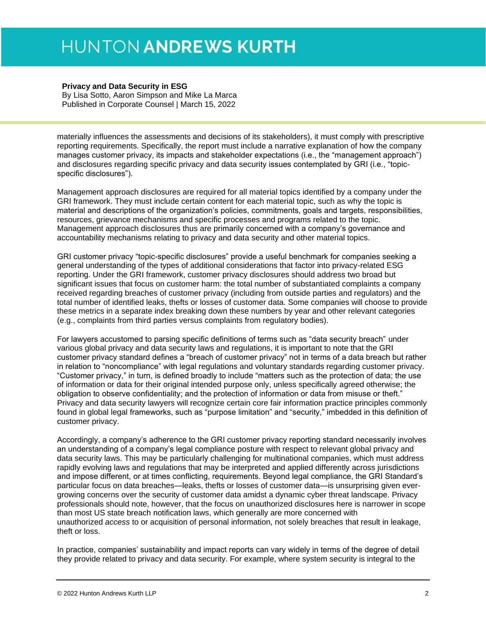#### **Privacy and Data Security in ESG**

By Lisa Sotto, Aaron Simpson and Mike La Marca Published in Corporate Counsel | March 15, 2022

materially influences the assessments and decisions of its stakeholders), it must comply with prescriptive reporting requirements. Specifically, the report must include a narrative explanation of how the company manages customer privacy, its impacts and stakeholder expectations (i.e., the "management approach") and disclosures regarding specific privacy and data security issues contemplated by GRI (i.e., "topicspecific disclosures").

Management approach disclosures are required for all material topics identified by a company under the GRI framework. They must include certain content for each material topic, such as why the topic is material and descriptions of the organization's policies, commitments, goals and targets, responsibilities, resources, grievance mechanisms and specific processes and programs related to the topic. Management approach disclosures thus are primarily concerned with a company's governance and accountability mechanisms relating to privacy and data security and other material topics.

GRI customer privacy "topic-specific disclosures" provide a useful benchmark for companies seeking a general understanding of the types of additional considerations that factor into privacy-related ESG reporting. Under the GRI framework, customer privacy disclosures should address two broad but significant issues that focus on customer harm: the total number of substantiated complaints a company received regarding breaches of customer privacy (including from outside parties and regulators) and the total number of identified leaks, thefts or losses of customer data. Some companies will choose to provide these metrics in a separate index breaking down these numbers by year and other relevant categories (e.g., complaints from third parties versus complaints from regulatory bodies).

For lawyers accustomed to parsing specific definitions of terms such as "data security breach" under various global privacy and data security laws and regulations, it is important to note that the GRI customer privacy standard defines a "breach of customer privacy" not in terms of a data breach but rather in relation to "noncompliance" with legal regulations and voluntary standards regarding customer privacy. "Customer privacy," in turn, is defined broadly to include "matters such as the protection of data; the use of information or data for their original intended purpose only, unless specifically agreed otherwise; the obligation to observe confidentiality; and the protection of information or data from misuse or theft." Privacy and data security lawyers will recognize certain core fair information practice principles commonly found in global legal frameworks, such as "purpose limitation" and "security," imbedded in this definition of customer privacy.

Accordingly, a company's adherence to the GRI customer privacy reporting standard necessarily involves an understanding of a company's legal compliance posture with respect to relevant global privacy and data security laws. This may be particularly challenging for multinational companies, which must address rapidly evolving laws and regulations that may be interpreted and applied differently across jurisdictions and impose different, or at times conflicting, requirements. Beyond legal compliance, the GRI Standard's particular focus on data breaches—leaks, thefts or losses of customer data—is unsurprising given evergrowing concerns over the security of customer data amidst a dynamic cyber threat landscape. Privacy professionals should note, however, that the focus on unauthorized disclosures here is narrower in scope than most US state breach notification laws, which generally are more concerned with unauthorized *access* to or acquisition of personal information, not solely breaches that result in leakage, theft or loss.

In practice, companies' sustainability and impact reports can vary widely in terms of the degree of detail they provide related to privacy and data security. For example, where system security is integral to the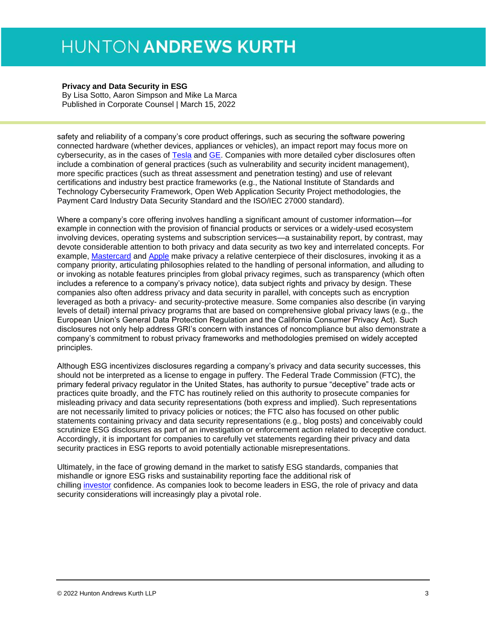#### **Privacy and Data Security in ESG**

By Lisa Sotto, Aaron Simpson and Mike La Marca Published in Corporate Counsel | March 15, 2022

safety and reliability of a company's core product offerings, such as securing the software powering connected hardware (whether devices, appliances or vehicles), an impact report may focus more on cybersecurity, as in the cases of [Tesla](https://www.tesla.com/ns_videos/2020-tesla-impact-report.pdf) and [GE.](https://www.ge.com/sites/default/files/ge2020_sustainability_report.pdf) Companies with more detailed cyber disclosures often include a combination of general practices (such as vulnerability and security incident management), more specific practices (such as threat assessment and penetration testing) and use of relevant certifications and industry best practice frameworks (e.g., the National Institute of Standards and Technology Cybersecurity Framework, Open Web Application Security Project methodologies, the Payment Card Industry Data Security Standard and the ISO/IEC 27000 standard).

Where a company's core offering involves handling a significant amount of customer information—for example in connection with the provision of financial products or services or a widely-used ecosystem involving devices, operating systems and subscription services—a sustainability report, by contrast, may devote considerable attention to both privacy and data security as two key and interrelated concepts. For example, [Mastercard](https://www.mastercardcenter.org/content/dam/mc-cig/uploads/mastercard-sustainability-report-2020.pdf) and [Apple](https://s2.q4cdn.com/470004039/files/doc_downloads/2021/08/2021_Apple_ESG_Report.pdf) make privacy a relative centerpiece of their disclosures, invoking it as a company priority, articulating philosophies related to the handling of personal information, and alluding to or invoking as notable features principles from global privacy regimes, such as transparency (which often includes a reference to a company's privacy notice), data subject rights and privacy by design. These companies also often address privacy and data security in parallel, with concepts such as encryption leveraged as both a privacy- and security-protective measure. Some companies also describe (in varying levels of detail) internal privacy programs that are based on comprehensive global privacy laws (e.g., the European Union's General Data Protection Regulation and the California Consumer Privacy Act). Such disclosures not only help address GRI's concern with instances of noncompliance but also demonstrate a company's commitment to robust privacy frameworks and methodologies premised on widely accepted principles.

Although ESG incentivizes disclosures regarding a company's privacy and data security successes, this should not be interpreted as a license to engage in puffery. The Federal Trade Commission (FTC), the primary federal privacy regulator in the United States, has authority to pursue "deceptive" trade acts or practices quite broadly, and the FTC has routinely relied on this authority to prosecute companies for misleading privacy and data security representations (both express and implied). Such representations are not necessarily limited to privacy policies or notices; the FTC also has focused on other public statements containing privacy and data security representations (e.g., blog posts) and conceivably could scrutinize ESG disclosures as part of an investigation or enforcement action related to deceptive conduct. Accordingly, it is important for companies to carefully vet statements regarding their privacy and data security practices in ESG reports to avoid potentially actionable misrepresentations.

Ultimately, in the face of growing demand in the market to satisfy ESG standards, companies that mishandle or ignore ESG risks and sustainability reporting face the additional risk of chilling [investor](https://www.gartner.com/smarterwithgartner/the-esg-imperative-7-factors-for-finance-leaders-to-consider) confidence. As companies look to become leaders in ESG, the role of privacy and data security considerations will increasingly play a pivotal role.